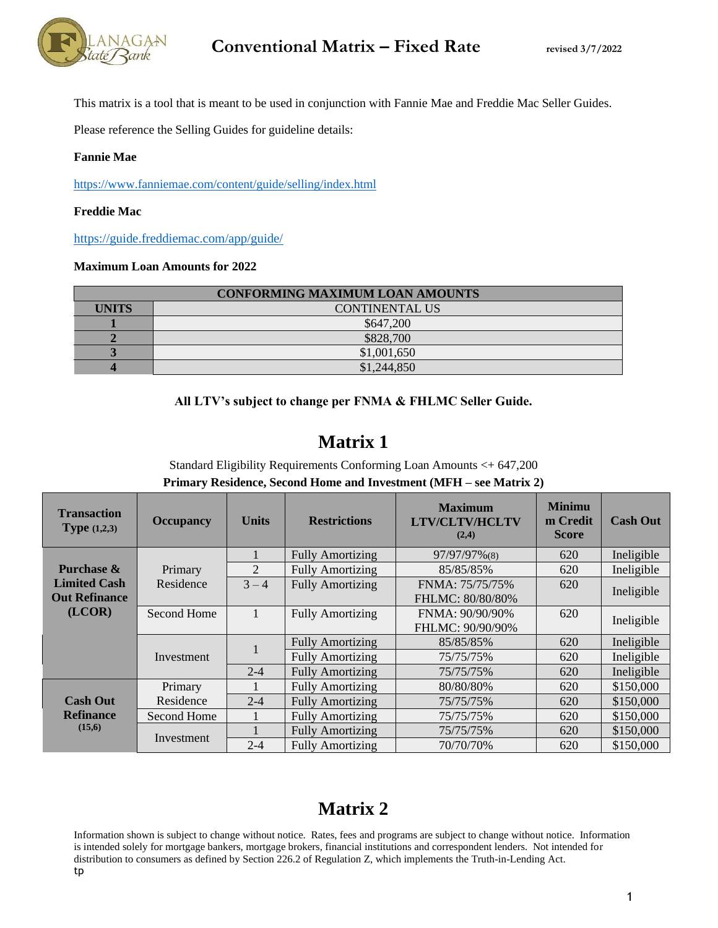

This matrix is a tool that is meant to be used in conjunction with Fannie Mae and Freddie Mac Seller Guides.

Please reference the Selling Guides for guideline details:

#### **Fannie Mae**

<https://www.fanniemae.com/content/guide/selling/index.html>

#### **Freddie Mac**

<https://guide.freddiemac.com/app/guide/>

#### **Maximum Loan Amounts for 2022**

| <b>CONFORMING MAXIMUM LOAN AMOUNTS</b> |                       |  |  |
|----------------------------------------|-----------------------|--|--|
| <b>UNITS</b>                           | <b>CONTINENTAL US</b> |  |  |
|                                        | \$647,200             |  |  |
|                                        | \$828,700             |  |  |
|                                        | \$1,001,650           |  |  |
|                                        | \$1,244,850           |  |  |

#### **All LTV's subject to change per FNMA & FHLMC Seller Guide.**

### **Matrix 1**

Standard Eligibility Requirements Conforming Loan Amounts <+ 647,200 **Primary Residence, Second Home and Investment (MFH – see Matrix 2)**

| <b>Transaction</b><br><b>Type</b> $(1,2,3)$   | <b>Occupancy</b> | <b>Units</b>   | <b>Restrictions</b>     | <b>Maximum</b><br><b>LTV/CLTV/HCLTV</b><br>(2,4) | <b>Minimu</b><br>m Credit<br><b>Score</b> | <b>Cash Out</b> |
|-----------------------------------------------|------------------|----------------|-------------------------|--------------------------------------------------|-------------------------------------------|-----------------|
|                                               |                  |                | <b>Fully Amortizing</b> | 97/97/97%(8)                                     | 620                                       | Ineligible      |
| Purchase &                                    | Primary          | $\overline{2}$ | <b>Fully Amortizing</b> | 85/85/85%                                        | 620                                       | Ineligible      |
| <b>Limited Cash</b>                           | Residence        | $3 - 4$        | <b>Fully Amortizing</b> | FNMA: 75/75/75%                                  | 620                                       | Ineligible      |
| <b>Out Refinance</b>                          |                  |                |                         | FHLMC: 80/80/80%                                 |                                           |                 |
| (LCOR)                                        | Second Home      |                | <b>Fully Amortizing</b> | FNMA: 90/90/90%                                  | 620                                       | Ineligible      |
|                                               |                  |                |                         | FHLMC: 90/90/90%                                 |                                           |                 |
|                                               |                  |                | <b>Fully Amortizing</b> | 85/85/85%                                        | 620                                       | Ineligible      |
|                                               | Investment       |                | <b>Fully Amortizing</b> | 75/75/75%                                        | 620                                       | Ineligible      |
|                                               |                  | $2 - 4$        | <b>Fully Amortizing</b> | 75/75/75%                                        | 620                                       | Ineligible      |
|                                               | Primary          |                | <b>Fully Amortizing</b> | 80/80/80%                                        | 620                                       | \$150,000       |
| <b>Cash Out</b><br><b>Refinance</b><br>(15,6) | Residence        | $2 - 4$        | <b>Fully Amortizing</b> | 75/75/75%                                        | 620                                       | \$150,000       |
|                                               | Second Home      |                | <b>Fully Amortizing</b> | 75/75/75%                                        | 620                                       | \$150,000       |
|                                               |                  |                | <b>Fully Amortizing</b> | 75/75/75%                                        | 620                                       | \$150,000       |
|                                               | Investment       | $2 - 4$        | <b>Fully Amortizing</b> | 70/70/70%                                        | 620                                       | \$150,000       |

### **Matrix 2**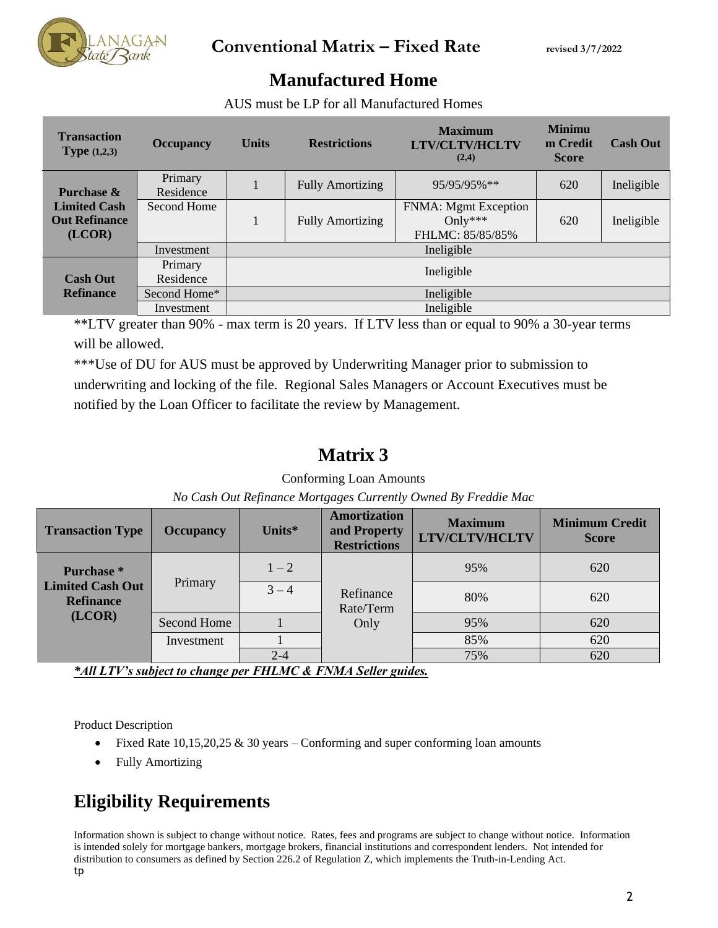

### **Manufactured Home**

AUS must be LP for all Manufactured Homes

| <b>Transaction</b><br><b>Type</b> $(1,2,3)$           | <b>Occupancy</b>     | <b>Units</b> | <b>Restrictions</b>     | <b>Maximum</b><br><b>LTV/CLTV/HCLTV</b><br>(2,4)           | <b>Minimu</b><br>m Credit<br><b>Score</b> | <b>Cash Out</b> |  |
|-------------------------------------------------------|----------------------|--------------|-------------------------|------------------------------------------------------------|-------------------------------------------|-----------------|--|
| Purchase $\&$                                         | Primary<br>Residence |              | <b>Fully Amortizing</b> | 95/95/95%**                                                | 620                                       | Ineligible      |  |
| <b>Limited Cash</b><br><b>Out Refinance</b><br>(LCOR) | Second Home          |              | <b>Fully Amortizing</b> | <b>FNMA:</b> Mgmt Exception<br>Only***<br>FHLMC: 85/85/85% | 620                                       | Ineligible      |  |
|                                                       | Investment           | Ineligible   |                         |                                                            |                                           |                 |  |
| <b>Cash Out</b>                                       | Primary<br>Residence | Ineligible   |                         |                                                            |                                           |                 |  |
| <b>Refinance</b>                                      | Second Home*         |              |                         | Ineligible                                                 |                                           |                 |  |
|                                                       | Investment           |              | Ineligible              |                                                            |                                           |                 |  |

\*\*LTV greater than 90% - max term is 20 years. If LTV less than or equal to 90% a 30-year terms will be allowed.

\*\*\*Use of DU for AUS must be approved by Underwriting Manager prior to submission to underwriting and locking of the file. Regional Sales Managers or Account Executives must be notified by the Loan Officer to facilitate the review by Management.

### **Matrix 3**

### Conforming Loan Amounts

| <b>Transaction Type</b>                               | <b>Occupancy</b> | Units $*$ | <b>Amortization</b><br>and Property<br><b>Restrictions</b> | <b>Maximum</b><br><b>LTV/CLTV/HCLTV</b> | <b>Minimum Credit</b><br><b>Score</b> |
|-------------------------------------------------------|------------------|-----------|------------------------------------------------------------|-----------------------------------------|---------------------------------------|
| <b>Purchase</b> *                                     |                  | $1 - 2$   |                                                            | 95%                                     | 620                                   |
| <b>Limited Cash Out</b><br><b>Refinance</b><br>(LCOR) | Primary          | $3 - 4$   | Refinance<br>Rate/Term                                     | 80%                                     | 620                                   |
|                                                       | Second Home      |           | Only                                                       | 95%                                     | 620                                   |
|                                                       | Investment       |           |                                                            | 85%                                     | 620                                   |
|                                                       |                  | $2 - 4$   |                                                            | 75%                                     | 620                                   |

*No Cash Out Refinance Mortgages Currently Owned By Freddie Mac*

*\*All LTV's subject to change per FHLMC & FNMA Seller guides.* 

Product Description

- Fixed Rate 10,15,20,25 & 30 years Conforming and super conforming loan amounts
- Fully Amortizing

## **Eligibility Requirements**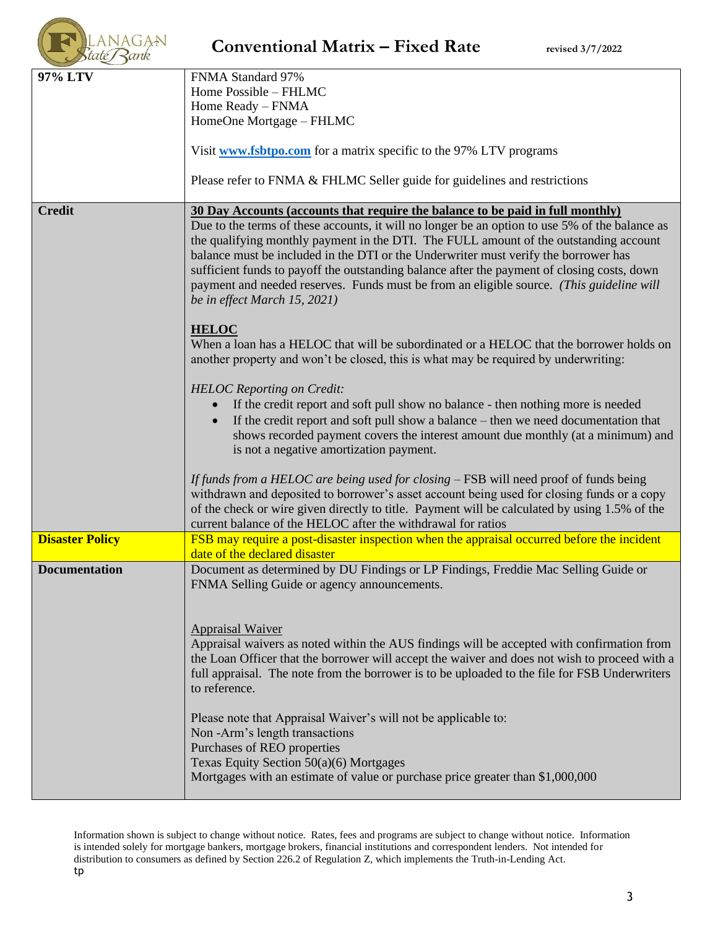|                        | <b>Conventional Matrix – Fixed Rate</b><br>revised 3/7/2022                                                                                                                                                                                                                                                                                                                                                                                                                                                                                                                                                                                                                                                                                                                                                                                                                                                                                                                                                                                                                                                                                                                                                                                                                                                                                                                                                                          |
|------------------------|--------------------------------------------------------------------------------------------------------------------------------------------------------------------------------------------------------------------------------------------------------------------------------------------------------------------------------------------------------------------------------------------------------------------------------------------------------------------------------------------------------------------------------------------------------------------------------------------------------------------------------------------------------------------------------------------------------------------------------------------------------------------------------------------------------------------------------------------------------------------------------------------------------------------------------------------------------------------------------------------------------------------------------------------------------------------------------------------------------------------------------------------------------------------------------------------------------------------------------------------------------------------------------------------------------------------------------------------------------------------------------------------------------------------------------------|
| 97% LTV                | FNMA Standard 97%<br>Home Possible - FHLMC<br>Home Ready - FNMA<br>HomeOne Mortgage - FHLMC                                                                                                                                                                                                                                                                                                                                                                                                                                                                                                                                                                                                                                                                                                                                                                                                                                                                                                                                                                                                                                                                                                                                                                                                                                                                                                                                          |
|                        | Visit <b>www.fsbtpo.com</b> for a matrix specific to the 97% LTV programs<br>Please refer to FNMA & FHLMC Seller guide for guidelines and restrictions                                                                                                                                                                                                                                                                                                                                                                                                                                                                                                                                                                                                                                                                                                                                                                                                                                                                                                                                                                                                                                                                                                                                                                                                                                                                               |
| <b>Credit</b>          | 30 Day Accounts (accounts that require the balance to be paid in full monthly)<br>Due to the terms of these accounts, it will no longer be an option to use 5% of the balance as<br>the qualifying monthly payment in the DTI. The FULL amount of the outstanding account<br>balance must be included in the DTI or the Underwriter must verify the borrower has<br>sufficient funds to payoff the outstanding balance after the payment of closing costs, down<br>payment and needed reserves. Funds must be from an eligible source. (This guideline will<br>be in effect March 15, 2021)<br><b>HELOC</b><br>When a loan has a HELOC that will be subordinated or a HELOC that the borrower holds on<br>another property and won't be closed, this is what may be required by underwriting:<br><b>HELOC</b> Reporting on Credit:<br>If the credit report and soft pull show no balance - then nothing more is needed<br>If the credit report and soft pull show a balance – then we need documentation that<br>shows recorded payment covers the interest amount due monthly (at a minimum) and<br>is not a negative amortization payment.<br>If funds from a HELOC are being used for closing – FSB will need proof of funds being<br>withdrawn and deposited to borrower's asset account being used for closing funds or a copy<br>of the check or wire given directly to title. Payment will be calculated by using 1.5% of the |
| <b>Disaster Policy</b> | current balance of the HELOC after the withdrawal for ratios<br>FSB may require a post-disaster inspection when the appraisal occurred before the incident                                                                                                                                                                                                                                                                                                                                                                                                                                                                                                                                                                                                                                                                                                                                                                                                                                                                                                                                                                                                                                                                                                                                                                                                                                                                           |
| <b>Documentation</b>   | date of the declared disaster<br>Document as determined by DU Findings or LP Findings, Freddie Mac Selling Guide or<br>FNMA Selling Guide or agency announcements.                                                                                                                                                                                                                                                                                                                                                                                                                                                                                                                                                                                                                                                                                                                                                                                                                                                                                                                                                                                                                                                                                                                                                                                                                                                                   |
|                        | <b>Appraisal Waiver</b><br>Appraisal waivers as noted within the AUS findings will be accepted with confirmation from<br>the Loan Officer that the borrower will accept the waiver and does not wish to proceed with a<br>full appraisal. The note from the borrower is to be uploaded to the file for FSB Underwriters<br>to reference.                                                                                                                                                                                                                                                                                                                                                                                                                                                                                                                                                                                                                                                                                                                                                                                                                                                                                                                                                                                                                                                                                             |
|                        | Please note that Appraisal Waiver's will not be applicable to:<br>Non-Arm's length transactions<br>Purchases of REO properties<br>Texas Equity Section 50(a)(6) Mortgages<br>Mortgages with an estimate of value or purchase price greater than \$1,000,000                                                                                                                                                                                                                                                                                                                                                                                                                                                                                                                                                                                                                                                                                                                                                                                                                                                                                                                                                                                                                                                                                                                                                                          |

*<u>ACCESSIBILITY OF BEST ON A</u>*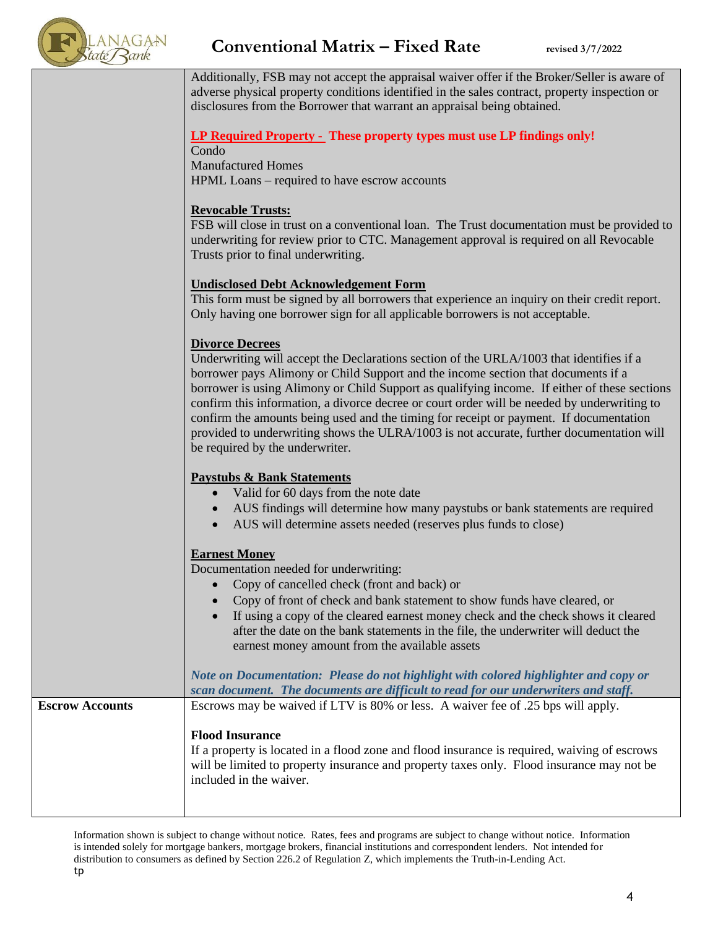

Additionally, FSB may not accept the appraisal waiver offer if the Broker/Seller is aware of adverse physical property conditions identified in the sales contract, property inspection or disclosures from the Borrower that warrant an appraisal being obtained.

### **LP Required Property - These property types must use LP findings only!**

Condo Manufactured Homes HPML Loans – required to have escrow accounts

### **Revocable Trusts:**

FSB will close in trust on a conventional loan. The Trust documentation must be provided to underwriting for review prior to CTC. Management approval is required on all Revocable Trusts prior to final underwriting.

### **Undisclosed Debt Acknowledgement Form**

This form must be signed by all borrowers that experience an inquiry on their credit report. Only having one borrower sign for all applicable borrowers is not acceptable.

### **Divorce Decrees**

Underwriting will accept the Declarations section of the URLA/1003 that identifies if a borrower pays Alimony or Child Support and the income section that documents if a borrower is using Alimony or Child Support as qualifying income. If either of these sections confirm this information, a divorce decree or court order will be needed by underwriting to confirm the amounts being used and the timing for receipt or payment. If documentation provided to underwriting shows the ULRA/1003 is not accurate, further documentation will be required by the underwriter.

### **Paystubs & Bank Statements**

- Valid for 60 days from the note date
- AUS findings will determine how many paystubs or bank statements are required
- AUS will determine assets needed (reserves plus funds to close)

### **Earnest Money**

Documentation needed for underwriting:

- Copy of cancelled check (front and back) or
- Copy of front of check and bank statement to show funds have cleared, or
- If using a copy of the cleared earnest money check and the check shows it cleared after the date on the bank statements in the file, the underwriter will deduct the earnest money amount from the available assets

*Note on Documentation: Please do not highlight with colored highlighter and copy or scan document. The documents are difficult to read for our underwriters and staff.* **Escrow Accounts** Escrows may be waived if LTV is 80% or less. A waiver fee of .25 bps will apply. **Flood Insurance** If a property is located in a flood zone and flood insurance is required, waiving of escrows will be limited to property insurance and property taxes only. Flood insurance may not be included in the waiver.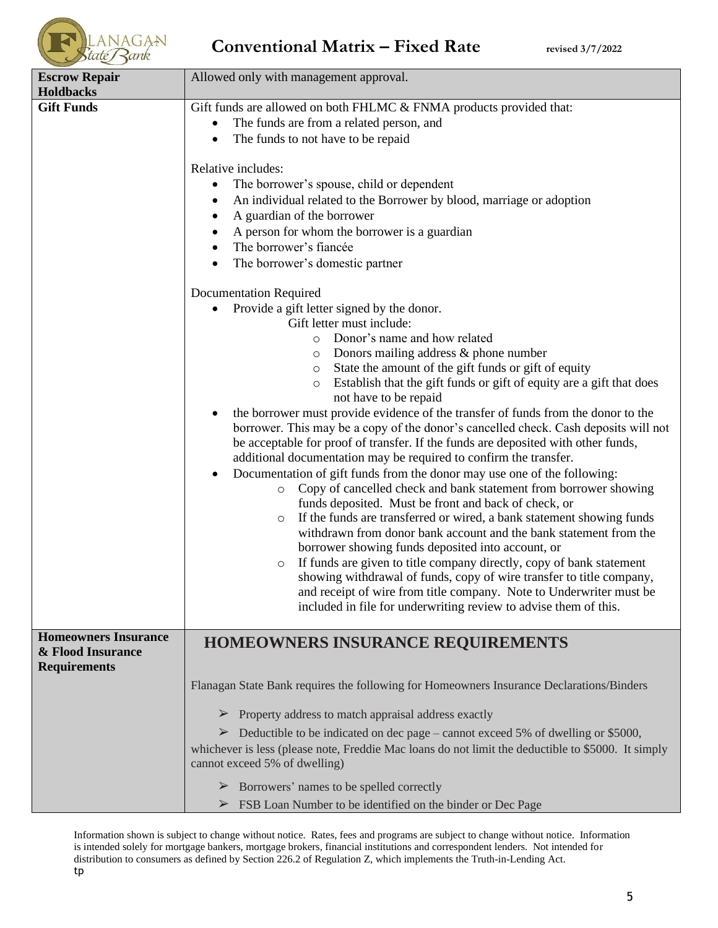| <b>Escrow Repair</b>                             | Allowed only with management approval.                                                                                                                                                                                                                                                                                                                                                                                                                                                                                                                                                                                                                                                                                                                                                                                                                                                                                                                                                                                                                                                                                                                                                                                                                                                                                                                                                                                                                                                                                                                                                                                                                                                                                                                                                                                                                                                                                                                            |
|--------------------------------------------------|-------------------------------------------------------------------------------------------------------------------------------------------------------------------------------------------------------------------------------------------------------------------------------------------------------------------------------------------------------------------------------------------------------------------------------------------------------------------------------------------------------------------------------------------------------------------------------------------------------------------------------------------------------------------------------------------------------------------------------------------------------------------------------------------------------------------------------------------------------------------------------------------------------------------------------------------------------------------------------------------------------------------------------------------------------------------------------------------------------------------------------------------------------------------------------------------------------------------------------------------------------------------------------------------------------------------------------------------------------------------------------------------------------------------------------------------------------------------------------------------------------------------------------------------------------------------------------------------------------------------------------------------------------------------------------------------------------------------------------------------------------------------------------------------------------------------------------------------------------------------------------------------------------------------------------------------------------------------|
| <b>Holdbacks</b><br><b>Gift Funds</b>            | Gift funds are allowed on both FHLMC & FNMA products provided that:<br>The funds are from a related person, and<br>$\bullet$<br>The funds to not have to be repaid<br>Relative includes:<br>The borrower's spouse, child or dependent<br>٠<br>An individual related to the Borrower by blood, marriage or adoption<br>A guardian of the borrower<br>A person for whom the borrower is a guardian<br>The borrower's fiancée<br>The borrower's domestic partner<br>$\bullet$<br><b>Documentation Required</b><br>Provide a gift letter signed by the donor.<br>Gift letter must include:<br>Donor's name and how related<br>$\circ$<br>Donors mailing address $\&$ phone number<br>$\circ$<br>State the amount of the gift funds or gift of equity<br>$\circ$<br>Establish that the gift funds or gift of equity are a gift that does<br>$\circ$<br>not have to be repaid<br>the borrower must provide evidence of the transfer of funds from the donor to the<br>borrower. This may be a copy of the donor's cancelled check. Cash deposits will not<br>be acceptable for proof of transfer. If the funds are deposited with other funds,<br>additional documentation may be required to confirm the transfer.<br>Documentation of gift funds from the donor may use one of the following:<br>$\bullet$<br>Copy of cancelled check and bank statement from borrower showing<br>$\circ$<br>funds deposited. Must be front and back of check, or<br>If the funds are transferred or wired, a bank statement showing funds<br>$\circ$<br>withdrawn from donor bank account and the bank statement from the<br>borrower showing funds deposited into account, or<br>If funds are given to title company directly, copy of bank statement<br>$\circ$<br>showing withdrawal of funds, copy of wire transfer to title company,<br>and receipt of wire from title company. Note to Underwriter must be<br>included in file for underwriting review to advise them of this. |
| <b>Homeowners Insurance</b><br>& Flood Insurance | <b>HOMEOWNERS INSURANCE REQUIREMENTS</b>                                                                                                                                                                                                                                                                                                                                                                                                                                                                                                                                                                                                                                                                                                                                                                                                                                                                                                                                                                                                                                                                                                                                                                                                                                                                                                                                                                                                                                                                                                                                                                                                                                                                                                                                                                                                                                                                                                                          |
| <b>Requirements</b>                              | Flanagan State Bank requires the following for Homeowners Insurance Declarations/Binders                                                                                                                                                                                                                                                                                                                                                                                                                                                                                                                                                                                                                                                                                                                                                                                                                                                                                                                                                                                                                                                                                                                                                                                                                                                                                                                                                                                                                                                                                                                                                                                                                                                                                                                                                                                                                                                                          |
|                                                  |                                                                                                                                                                                                                                                                                                                                                                                                                                                                                                                                                                                                                                                                                                                                                                                                                                                                                                                                                                                                                                                                                                                                                                                                                                                                                                                                                                                                                                                                                                                                                                                                                                                                                                                                                                                                                                                                                                                                                                   |
|                                                  | $\triangleright$ Property address to match appraisal address exactly<br>$\triangleright$ Deductible to be indicated on dec page – cannot exceed 5% of dwelling or \$5000,                                                                                                                                                                                                                                                                                                                                                                                                                                                                                                                                                                                                                                                                                                                                                                                                                                                                                                                                                                                                                                                                                                                                                                                                                                                                                                                                                                                                                                                                                                                                                                                                                                                                                                                                                                                         |
|                                                  | whichever is less (please note, Freddie Mac loans do not limit the deductible to \$5000. It simply<br>cannot exceed 5% of dwelling)                                                                                                                                                                                                                                                                                                                                                                                                                                                                                                                                                                                                                                                                                                                                                                                                                                                                                                                                                                                                                                                                                                                                                                                                                                                                                                                                                                                                                                                                                                                                                                                                                                                                                                                                                                                                                               |
|                                                  | $\triangleright$ Borrowers' names to be spelled correctly                                                                                                                                                                                                                                                                                                                                                                                                                                                                                                                                                                                                                                                                                                                                                                                                                                                                                                                                                                                                                                                                                                                                                                                                                                                                                                                                                                                                                                                                                                                                                                                                                                                                                                                                                                                                                                                                                                         |
|                                                  | $\triangleright$ FSB Loan Number to be identified on the binder or Dec Page                                                                                                                                                                                                                                                                                                                                                                                                                                                                                                                                                                                                                                                                                                                                                                                                                                                                                                                                                                                                                                                                                                                                                                                                                                                                                                                                                                                                                                                                                                                                                                                                                                                                                                                                                                                                                                                                                       |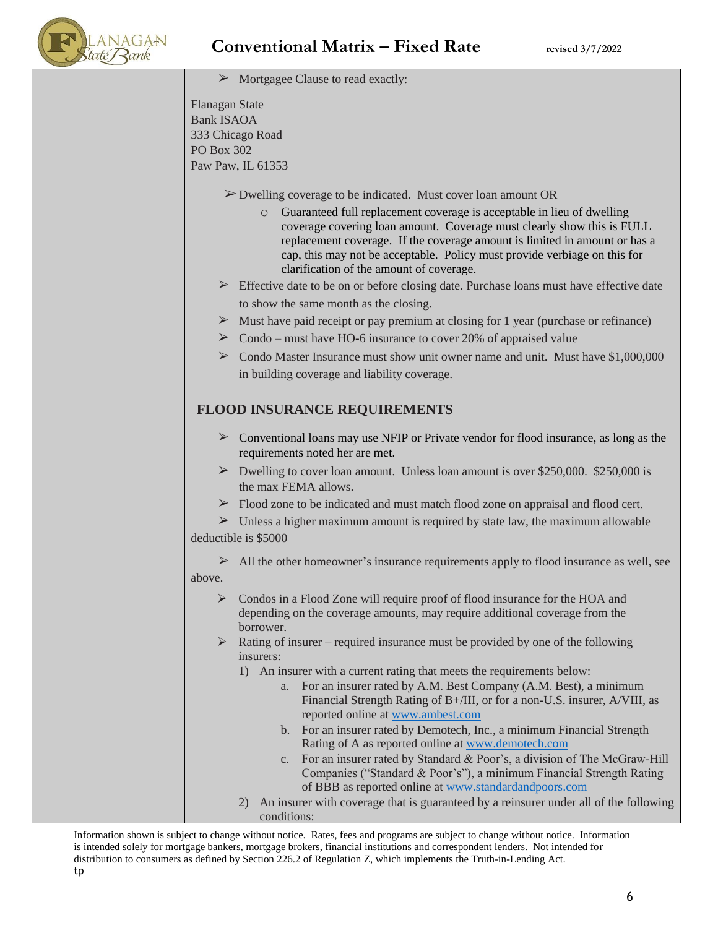

| $\triangleright$ Mortgagee Clause to read exactly:                                                                                                                                                                                                                                                                                                                 |
|--------------------------------------------------------------------------------------------------------------------------------------------------------------------------------------------------------------------------------------------------------------------------------------------------------------------------------------------------------------------|
| <b>Flanagan State</b>                                                                                                                                                                                                                                                                                                                                              |
| <b>Bank ISAOA</b>                                                                                                                                                                                                                                                                                                                                                  |
| 333 Chicago Road<br><b>PO Box 302</b>                                                                                                                                                                                                                                                                                                                              |
| Paw Paw, IL 61353                                                                                                                                                                                                                                                                                                                                                  |
|                                                                                                                                                                                                                                                                                                                                                                    |
| $\triangleright$ Dwelling coverage to be indicated. Must cover loan amount OR                                                                                                                                                                                                                                                                                      |
| Guaranteed full replacement coverage is acceptable in lieu of dwelling<br>$\circ$<br>coverage covering loan amount. Coverage must clearly show this is FULL<br>replacement coverage. If the coverage amount is limited in amount or has a<br>cap, this may not be acceptable. Policy must provide verbiage on this for<br>clarification of the amount of coverage. |
| > Effective date to be on or before closing date. Purchase loans must have effective date                                                                                                                                                                                                                                                                          |
| to show the same month as the closing.                                                                                                                                                                                                                                                                                                                             |
| $\triangleright$ Must have paid receipt or pay premium at closing for 1 year (purchase or refinance)                                                                                                                                                                                                                                                               |
| $\triangleright$ Condo – must have HO-6 insurance to cover 20% of appraised value                                                                                                                                                                                                                                                                                  |
| $\triangleright$ Condo Master Insurance must show unit owner name and unit. Must have \$1,000,000                                                                                                                                                                                                                                                                  |
| in building coverage and liability coverage.                                                                                                                                                                                                                                                                                                                       |
| <b>FLOOD INSURANCE REQUIREMENTS</b>                                                                                                                                                                                                                                                                                                                                |
| $\triangleright$ Conventional loans may use NFIP or Private vendor for flood insurance, as long as the<br>requirements noted her are met.                                                                                                                                                                                                                          |
| $\triangleright$ Dwelling to cover loan amount. Unless loan amount is over \$250,000. \$250,000 is<br>the max FEMA allows.                                                                                                                                                                                                                                         |
| > Flood zone to be indicated and must match flood zone on appraisal and flood cert.                                                                                                                                                                                                                                                                                |
| $\triangleright$ Unless a higher maximum amount is required by state law, the maximum allowable                                                                                                                                                                                                                                                                    |
| deductible is \$5000                                                                                                                                                                                                                                                                                                                                               |
| All the other homeowner's insurance requirements apply to flood insurance as well, see<br>➤                                                                                                                                                                                                                                                                        |
| above.                                                                                                                                                                                                                                                                                                                                                             |
| Condos in a Flood Zone will require proof of flood insurance for the HOA and<br>➤<br>depending on the coverage amounts, may require additional coverage from the<br>borrower.                                                                                                                                                                                      |
| Rating of insurer – required insurance must be provided by one of the following<br>$\blacktriangleright$<br>insurers:                                                                                                                                                                                                                                              |
| 1) An insurer with a current rating that meets the requirements below:                                                                                                                                                                                                                                                                                             |
| a. For an insurer rated by A.M. Best Company (A.M. Best), a minimum                                                                                                                                                                                                                                                                                                |
| Financial Strength Rating of B+/III, or for a non-U.S. insurer, A/VIII, as<br>reported online at www.ambest.com                                                                                                                                                                                                                                                    |
| b. For an insurer rated by Demotech, Inc., a minimum Financial Strength                                                                                                                                                                                                                                                                                            |
| Rating of A as reported online at www.demotech.com                                                                                                                                                                                                                                                                                                                 |
| c. For an insurer rated by Standard & Poor's, a division of The McGraw-Hill                                                                                                                                                                                                                                                                                        |
| Companies ("Standard & Poor's"), a minimum Financial Strength Rating<br>of BBB as reported online at www.standardandpoors.com                                                                                                                                                                                                                                      |
| An insurer with coverage that is guaranteed by a reinsurer under all of the following<br>2)                                                                                                                                                                                                                                                                        |
| conditions:                                                                                                                                                                                                                                                                                                                                                        |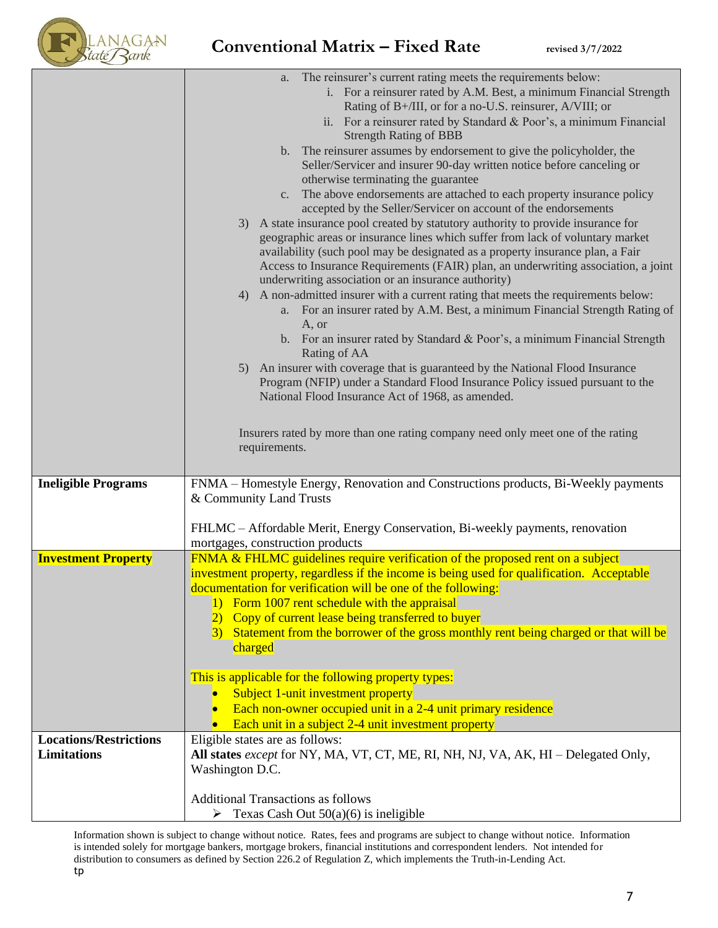

|                               | The reinsurer's current rating meets the requirements below:<br>a.                                                                        |
|-------------------------------|-------------------------------------------------------------------------------------------------------------------------------------------|
|                               | i. For a reinsurer rated by A.M. Best, a minimum Financial Strength                                                                       |
|                               | Rating of B+/III, or for a no-U.S. reinsurer, A/VIII; or                                                                                  |
|                               | ii. For a reinsurer rated by Standard & Poor's, a minimum Financial                                                                       |
|                               | <b>Strength Rating of BBB</b>                                                                                                             |
|                               | b. The reinsurer assumes by endorsement to give the policyholder, the                                                                     |
|                               | Seller/Servicer and insurer 90-day written notice before canceling or                                                                     |
|                               | otherwise terminating the guarantee                                                                                                       |
|                               | c. The above endorsements are attached to each property insurance policy                                                                  |
|                               | accepted by the Seller/Servicer on account of the endorsements                                                                            |
|                               | A state insurance pool created by statutory authority to provide insurance for<br>3)                                                      |
|                               | geographic areas or insurance lines which suffer from lack of voluntary market                                                            |
|                               | availability (such pool may be designated as a property insurance plan, a Fair                                                            |
|                               | Access to Insurance Requirements (FAIR) plan, an underwriting association, a joint<br>underwriting association or an insurance authority) |
|                               | A non-admitted insurer with a current rating that meets the requirements below:<br>4)                                                     |
|                               | a. For an insurer rated by A.M. Best, a minimum Financial Strength Rating of                                                              |
|                               | A, or                                                                                                                                     |
|                               | b. For an insurer rated by Standard & Poor's, a minimum Financial Strength                                                                |
|                               | Rating of AA                                                                                                                              |
|                               | An insurer with coverage that is guaranteed by the National Flood Insurance<br>5)                                                         |
|                               | Program (NFIP) under a Standard Flood Insurance Policy issued pursuant to the<br>National Flood Insurance Act of 1968, as amended.        |
|                               |                                                                                                                                           |
|                               |                                                                                                                                           |
|                               | Insurers rated by more than one rating company need only meet one of the rating                                                           |
|                               | requirements.                                                                                                                             |
|                               |                                                                                                                                           |
| <b>Ineligible Programs</b>    | FNMA - Homestyle Energy, Renovation and Constructions products, Bi-Weekly payments                                                        |
|                               | & Community Land Trusts                                                                                                                   |
|                               | FHLMC - Affordable Merit, Energy Conservation, Bi-weekly payments, renovation                                                             |
|                               | mortgages, construction products                                                                                                          |
| <b>Investment Property</b>    | FNMA & FHLMC guidelines require verification of the proposed rent on a subject                                                            |
|                               | investment property, regardless if the income is being used for qualification. Acceptable                                                 |
|                               | documentation for verification will be one of the following:                                                                              |
|                               | Form 1007 rent schedule with the appraisal                                                                                                |
|                               |                                                                                                                                           |
|                               |                                                                                                                                           |
|                               | Copy of current lease being transferred to buyer                                                                                          |
|                               | Statement from the borrower of the gross monthly rent being charged or that will be<br>$\left(3\right)$<br>charged                        |
|                               |                                                                                                                                           |
|                               | This is applicable for the following property types:                                                                                      |
|                               | Subject 1-unit investment property                                                                                                        |
|                               | Each non-owner occupied unit in a 2-4 unit primary residence                                                                              |
|                               | Each unit in a subject 2-4 unit investment property                                                                                       |
| <b>Locations/Restrictions</b> | Eligible states are as follows:                                                                                                           |
| <b>Limitations</b>            | All states <i>except</i> for NY, MA, VT, CT, ME, RI, NH, NJ, VA, AK, HI – Delegated Only,                                                 |
|                               | Washington D.C.                                                                                                                           |
|                               |                                                                                                                                           |
|                               | <b>Additional Transactions as follows</b><br>Texas Cash Out $50(a)(6)$ is ineligible<br>➤                                                 |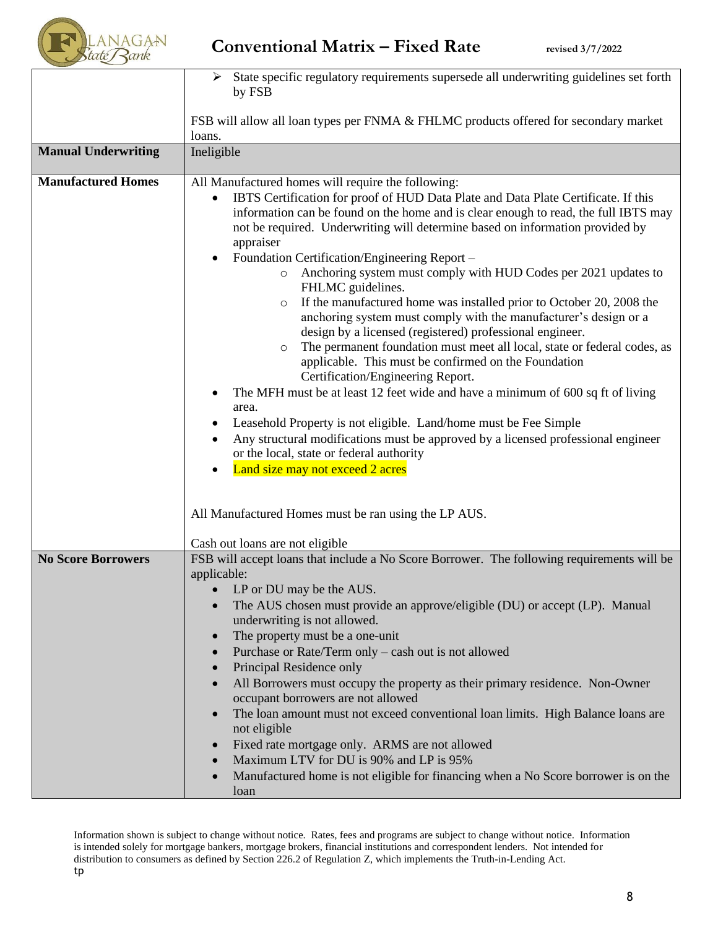

|                            | State specific regulatory requirements supersede all underwriting guidelines set forth<br>by FSB                                                                                                                                                                                                                                                                                                                                                                                                                                                                                                                                                                                                                                                                                                                                                                                                                                                                                                                                                                                                                                                                                                                              |
|----------------------------|-------------------------------------------------------------------------------------------------------------------------------------------------------------------------------------------------------------------------------------------------------------------------------------------------------------------------------------------------------------------------------------------------------------------------------------------------------------------------------------------------------------------------------------------------------------------------------------------------------------------------------------------------------------------------------------------------------------------------------------------------------------------------------------------------------------------------------------------------------------------------------------------------------------------------------------------------------------------------------------------------------------------------------------------------------------------------------------------------------------------------------------------------------------------------------------------------------------------------------|
|                            | FSB will allow all loan types per FNMA & FHLMC products offered for secondary market<br>loans.                                                                                                                                                                                                                                                                                                                                                                                                                                                                                                                                                                                                                                                                                                                                                                                                                                                                                                                                                                                                                                                                                                                                |
| <b>Manual Underwriting</b> | Ineligible                                                                                                                                                                                                                                                                                                                                                                                                                                                                                                                                                                                                                                                                                                                                                                                                                                                                                                                                                                                                                                                                                                                                                                                                                    |
| <b>Manufactured Homes</b>  | All Manufactured homes will require the following:<br>IBTS Certification for proof of HUD Data Plate and Data Plate Certificate. If this<br>information can be found on the home and is clear enough to read, the full IBTS may<br>not be required. Underwriting will determine based on information provided by<br>appraiser<br>Foundation Certification/Engineering Report –<br>Anchoring system must comply with HUD Codes per 2021 updates to<br>$\circ$<br>FHLMC guidelines.<br>If the manufactured home was installed prior to October 20, 2008 the<br>$\circ$<br>anchoring system must comply with the manufacturer's design or a<br>design by a licensed (registered) professional engineer.<br>The permanent foundation must meet all local, state or federal codes, as<br>$\circ$<br>applicable. This must be confirmed on the Foundation<br>Certification/Engineering Report.<br>The MFH must be at least 12 feet wide and have a minimum of 600 sq ft of living<br>area.<br>Leasehold Property is not eligible. Land/home must be Fee Simple<br>Any structural modifications must be approved by a licensed professional engineer<br>or the local, state or federal authority<br>Land size may not exceed 2 acres |
|                            | All Manufactured Homes must be ran using the LP AUS.                                                                                                                                                                                                                                                                                                                                                                                                                                                                                                                                                                                                                                                                                                                                                                                                                                                                                                                                                                                                                                                                                                                                                                          |
|                            | Cash out loans are not eligible                                                                                                                                                                                                                                                                                                                                                                                                                                                                                                                                                                                                                                                                                                                                                                                                                                                                                                                                                                                                                                                                                                                                                                                               |
| <b>No Score Borrowers</b>  | FSB will accept loans that include a No Score Borrower. The following requirements will be<br>applicable:<br>LP or DU may be the AUS.<br>The AUS chosen must provide an approve/eligible (DU) or accept (LP). Manual<br>underwriting is not allowed.<br>The property must be a one-unit<br>Purchase or Rate/Term only - cash out is not allowed<br>Principal Residence only<br>All Borrowers must occupy the property as their primary residence. Non-Owner<br>occupant borrowers are not allowed<br>The loan amount must not exceed conventional loan limits. High Balance loans are<br>not eligible<br>Fixed rate mortgage only. ARMS are not allowed<br>Maximum LTV for DU is 90% and LP is 95%<br>Manufactured home is not eligible for financing when a No Score borrower is on the<br>loan                                                                                                                                                                                                                                                                                                                                                                                                                              |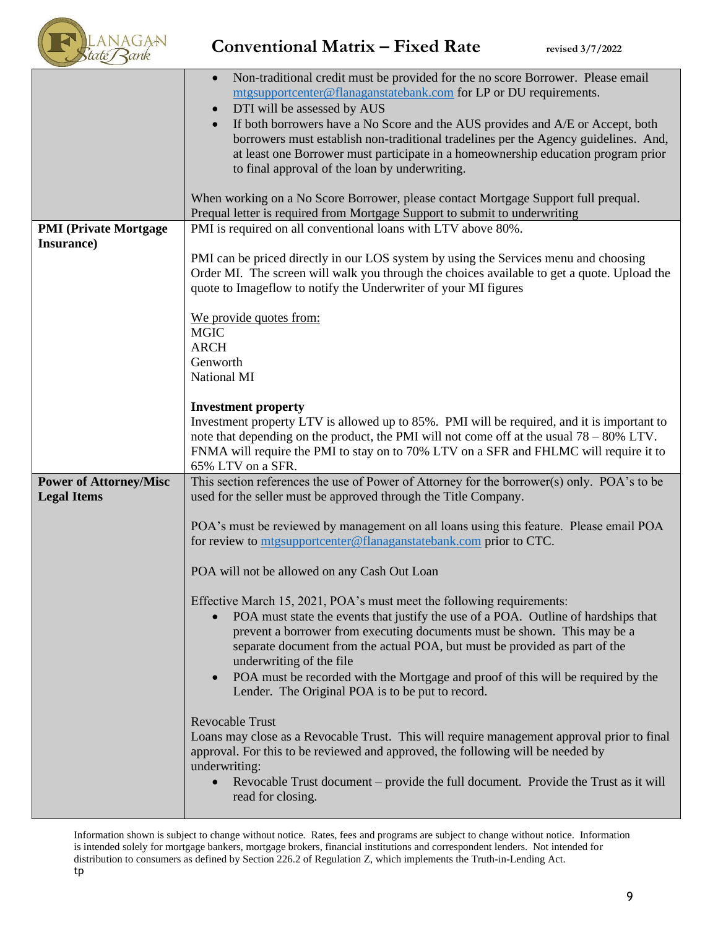

|                                                     | Non-traditional credit must be provided for the no score Borrower. Please email<br>mtgsupportcenter@flanaganstatebank.com for LP or DU requirements.<br>DTI will be assessed by AUS<br>If both borrowers have a No Score and the AUS provides and A/E or Accept, both<br>borrowers must establish non-traditional tradelines per the Agency guidelines. And,<br>at least one Borrower must participate in a homeownership education program prior<br>to final approval of the loan by underwriting.<br>When working on a No Score Borrower, please contact Mortgage Support full prequal.<br>Prequal letter is required from Mortgage Support to submit to underwriting                                                                                                                                                                                                                                                                                                                                                                                                                                             |
|-----------------------------------------------------|---------------------------------------------------------------------------------------------------------------------------------------------------------------------------------------------------------------------------------------------------------------------------------------------------------------------------------------------------------------------------------------------------------------------------------------------------------------------------------------------------------------------------------------------------------------------------------------------------------------------------------------------------------------------------------------------------------------------------------------------------------------------------------------------------------------------------------------------------------------------------------------------------------------------------------------------------------------------------------------------------------------------------------------------------------------------------------------------------------------------|
| <b>PMI</b> (Private Mortgage<br>Insurance)          | PMI is required on all conventional loans with LTV above 80%.<br>PMI can be priced directly in our LOS system by using the Services menu and choosing<br>Order MI. The screen will walk you through the choices available to get a quote. Upload the<br>quote to Imageflow to notify the Underwriter of your MI figures                                                                                                                                                                                                                                                                                                                                                                                                                                                                                                                                                                                                                                                                                                                                                                                             |
|                                                     | We provide quotes from:<br><b>MGIC</b><br><b>ARCH</b><br>Genworth<br>National MI                                                                                                                                                                                                                                                                                                                                                                                                                                                                                                                                                                                                                                                                                                                                                                                                                                                                                                                                                                                                                                    |
|                                                     | <b>Investment property</b><br>Investment property LTV is allowed up to 85%. PMI will be required, and it is important to<br>note that depending on the product, the PMI will not come off at the usual $78 - 80\%$ LTV.<br>FNMA will require the PMI to stay on to 70% LTV on a SFR and FHLMC will require it to<br>65% LTV on a SFR.                                                                                                                                                                                                                                                                                                                                                                                                                                                                                                                                                                                                                                                                                                                                                                               |
| <b>Power of Attorney/Misc</b><br><b>Legal Items</b> | This section references the use of Power of Attorney for the borrower(s) only. POA's to be<br>used for the seller must be approved through the Title Company.<br>POA's must be reviewed by management on all loans using this feature. Please email POA<br>for review to mtgsupportcenter@flanaganstatebank.com prior to CTC.<br>POA will not be allowed on any Cash Out Loan<br>Effective March 15, 2021, POA's must meet the following requirements:<br>POA must state the events that justify the use of a POA. Outline of hardships that<br>prevent a borrower from executing documents must be shown. This may be a<br>separate document from the actual POA, but must be provided as part of the<br>underwriting of the file<br>POA must be recorded with the Mortgage and proof of this will be required by the<br>$\bullet$<br>Lender. The Original POA is to be put to record.<br><b>Revocable Trust</b><br>Loans may close as a Revocable Trust. This will require management approval prior to final<br>approval. For this to be reviewed and approved, the following will be needed by<br>underwriting: |
|                                                     | Revocable Trust document – provide the full document. Provide the Trust as it will<br>read for closing.                                                                                                                                                                                                                                                                                                                                                                                                                                                                                                                                                                                                                                                                                                                                                                                                                                                                                                                                                                                                             |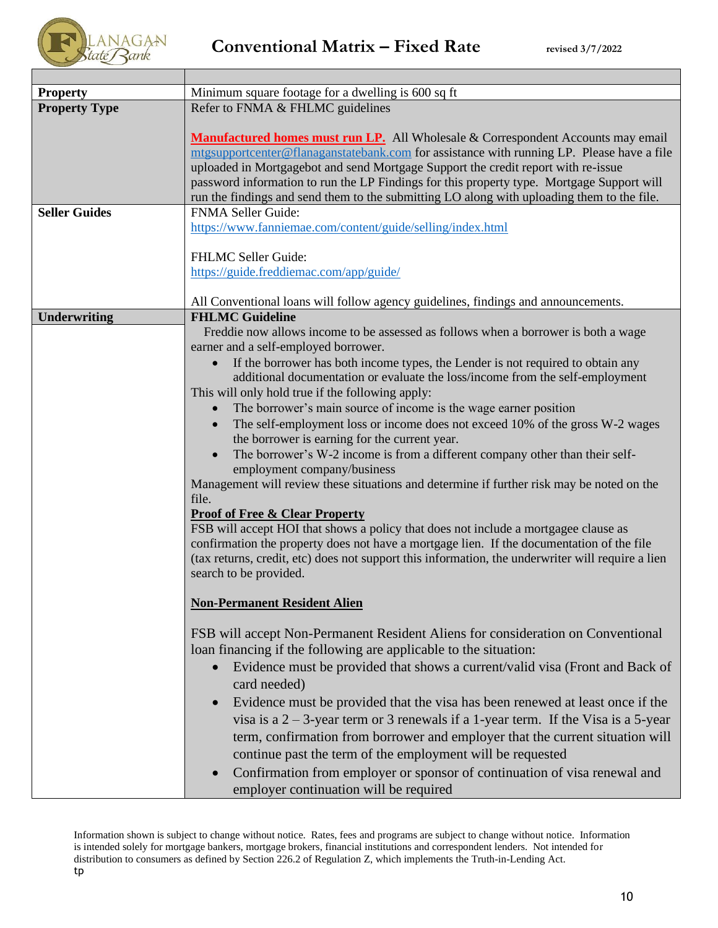

| <b>Property</b>      | Minimum square footage for a dwelling is 600 sq ft                                                |
|----------------------|---------------------------------------------------------------------------------------------------|
| <b>Property Type</b> | Refer to FNMA & FHLMC guidelines                                                                  |
|                      |                                                                                                   |
|                      | Manufactured homes must run LP. All Wholesale & Correspondent Accounts may email                  |
|                      | mtgsupportcenter@flanaganstatebank.com for assistance with running LP. Please have a file         |
|                      | uploaded in Mortgagebot and send Mortgage Support the credit report with re-issue                 |
|                      | password information to run the LP Findings for this property type. Mortgage Support will         |
|                      | run the findings and send them to the submitting LO along with uploading them to the file.        |
| <b>Seller Guides</b> | <b>FNMA Seller Guide:</b>                                                                         |
|                      | https://www.fanniemae.com/content/guide/selling/index.html                                        |
|                      |                                                                                                   |
|                      | FHLMC Seller Guide:                                                                               |
|                      | https://guide.freddiemac.com/app/guide/                                                           |
|                      |                                                                                                   |
|                      | All Conventional loans will follow agency guidelines, findings and announcements.                 |
| <b>Underwriting</b>  | <b>FHLMC Guideline</b>                                                                            |
|                      | Freddie now allows income to be assessed as follows when a borrower is both a wage                |
|                      | earner and a self-employed borrower.                                                              |
|                      | If the borrower has both income types, the Lender is not required to obtain any                   |
|                      | additional documentation or evaluate the loss/income from the self-employment                     |
|                      | This will only hold true if the following apply:                                                  |
|                      | The borrower's main source of income is the wage earner position                                  |
|                      | The self-employment loss or income does not exceed 10% of the gross W-2 wages                     |
|                      | the borrower is earning for the current year.                                                     |
|                      | The borrower's W-2 income is from a different company other than their self-                      |
|                      | employment company/business                                                                       |
|                      | Management will review these situations and determine if further risk may be noted on the         |
|                      | file.                                                                                             |
|                      | <b>Proof of Free &amp; Clear Property</b>                                                         |
|                      | FSB will accept HOI that shows a policy that does not include a mortgagee clause as               |
|                      | confirmation the property does not have a mortgage lien. If the documentation of the file         |
|                      | (tax returns, credit, etc) does not support this information, the underwriter will require a lien |
|                      | search to be provided.                                                                            |
|                      |                                                                                                   |
|                      | <b>Non-Permanent Resident Alien</b>                                                               |
|                      |                                                                                                   |
|                      | FSB will accept Non-Permanent Resident Aliens for consideration on Conventional                   |
|                      | loan financing if the following are applicable to the situation:                                  |
|                      | Evidence must be provided that shows a current/valid visa (Front and Back of                      |
|                      | card needed)                                                                                      |
|                      | Evidence must be provided that the visa has been renewed at least once if the                     |
|                      | visa is a $2 - 3$ -year term or 3 renewals if a 1-year term. If the Visa is a 5-year              |
|                      |                                                                                                   |
|                      | term, confirmation from borrower and employer that the current situation will                     |
|                      | continue past the term of the employment will be requested                                        |
|                      | Confirmation from employer or sponsor of continuation of visa renewal and                         |
|                      | employer continuation will be required                                                            |
|                      |                                                                                                   |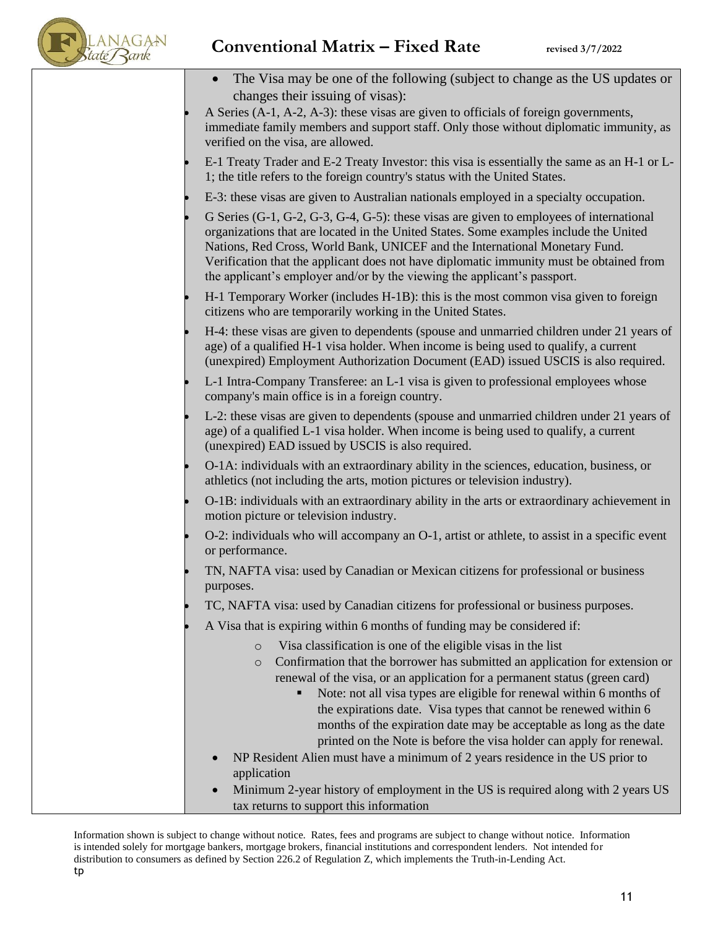

| The Visa may be one of the following (subject to change as the US updates or<br>changes their issuing of visas):                                                                                                                                                                                                                                                                                                                                                                                                                                                                                                                                 |
|--------------------------------------------------------------------------------------------------------------------------------------------------------------------------------------------------------------------------------------------------------------------------------------------------------------------------------------------------------------------------------------------------------------------------------------------------------------------------------------------------------------------------------------------------------------------------------------------------------------------------------------------------|
| A Series (A-1, A-2, A-3): these visas are given to officials of foreign governments,<br>immediate family members and support staff. Only those without diplomatic immunity, as<br>verified on the visa, are allowed.                                                                                                                                                                                                                                                                                                                                                                                                                             |
| E-1 Treaty Trader and E-2 Treaty Investor: this visa is essentially the same as an H-1 or L-<br>1; the title refers to the foreign country's status with the United States.                                                                                                                                                                                                                                                                                                                                                                                                                                                                      |
| E-3: these visas are given to Australian nationals employed in a specialty occupation.                                                                                                                                                                                                                                                                                                                                                                                                                                                                                                                                                           |
| G Series (G-1, G-2, G-3, G-4, G-5): these visas are given to employees of international<br>organizations that are located in the United States. Some examples include the United<br>Nations, Red Cross, World Bank, UNICEF and the International Monetary Fund.<br>Verification that the applicant does not have diplomatic immunity must be obtained from<br>the applicant's employer and/or by the viewing the applicant's passport.                                                                                                                                                                                                           |
| H-1 Temporary Worker (includes H-1B): this is the most common visa given to foreign<br>citizens who are temporarily working in the United States.                                                                                                                                                                                                                                                                                                                                                                                                                                                                                                |
| H-4: these visas are given to dependents (spouse and unmarried children under 21 years of<br>age) of a qualified H-1 visa holder. When income is being used to qualify, a current<br>(unexpired) Employment Authorization Document (EAD) issued USCIS is also required.                                                                                                                                                                                                                                                                                                                                                                          |
| L-1 Intra-Company Transferee: an L-1 visa is given to professional employees whose<br>company's main office is in a foreign country.                                                                                                                                                                                                                                                                                                                                                                                                                                                                                                             |
| L-2: these visas are given to dependents (spouse and unmarried children under 21 years of<br>age) of a qualified L-1 visa holder. When income is being used to qualify, a current<br>(unexpired) EAD issued by USCIS is also required.                                                                                                                                                                                                                                                                                                                                                                                                           |
| O-1A: individuals with an extraordinary ability in the sciences, education, business, or<br>athletics (not including the arts, motion pictures or television industry).                                                                                                                                                                                                                                                                                                                                                                                                                                                                          |
| O-1B: individuals with an extraordinary ability in the arts or extraordinary achievement in<br>motion picture or television industry.                                                                                                                                                                                                                                                                                                                                                                                                                                                                                                            |
| O-2: individuals who will accompany an O-1, artist or athlete, to assist in a specific event<br>or performance.                                                                                                                                                                                                                                                                                                                                                                                                                                                                                                                                  |
| TN, NAFTA visa: used by Canadian or Mexican citizens for professional or business<br>purposes.                                                                                                                                                                                                                                                                                                                                                                                                                                                                                                                                                   |
| TC, NAFTA visa: used by Canadian citizens for professional or business purposes.                                                                                                                                                                                                                                                                                                                                                                                                                                                                                                                                                                 |
| A Visa that is expiring within 6 months of funding may be considered if:                                                                                                                                                                                                                                                                                                                                                                                                                                                                                                                                                                         |
| Visa classification is one of the eligible visas in the list<br>$\circ$<br>Confirmation that the borrower has submitted an application for extension or<br>$\circ$<br>renewal of the visa, or an application for a permanent status (green card)<br>Note: not all visa types are eligible for renewal within 6 months of<br>٠<br>the expirations date. Visa types that cannot be renewed within 6<br>months of the expiration date may be acceptable as long as the date<br>printed on the Note is before the visa holder can apply for renewal.<br>NP Resident Alien must have a minimum of 2 years residence in the US prior to<br>application |
| Minimum 2-year history of employment in the US is required along with 2 years US<br>tax returns to support this information                                                                                                                                                                                                                                                                                                                                                                                                                                                                                                                      |